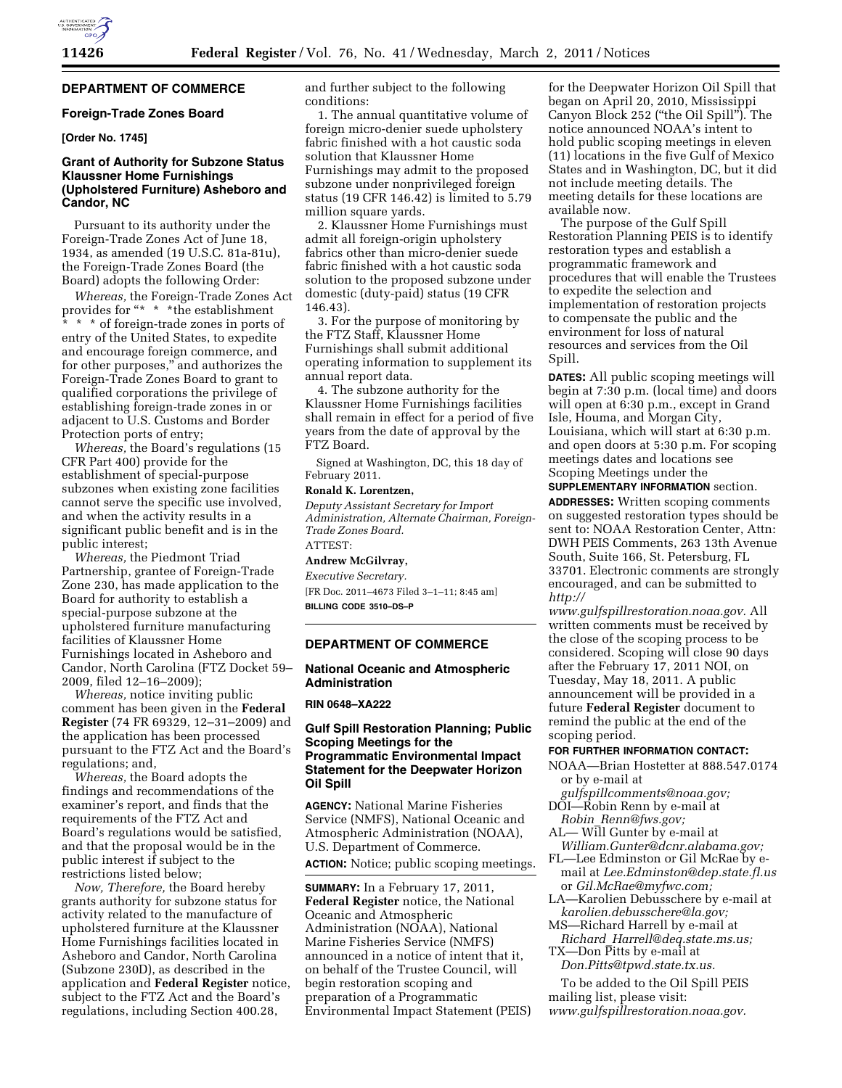# **DEPARTMENT OF COMMERCE**

## **Foreign-Trade Zones Board**

# **[Order No. 1745]**

### **Grant of Authority for Subzone Status Klaussner Home Furnishings (Upholstered Furniture) Asheboro and Candor, NC**

Pursuant to its authority under the Foreign-Trade Zones Act of June 18, 1934, as amended (19 U.S.C. 81a-81u), the Foreign-Trade Zones Board (the Board) adopts the following Order:

*Whereas,* the Foreign-Trade Zones Act provides for "\* \* \* the establishment \* \* \* of foreign-trade zones in ports of entry of the United States, to expedite and encourage foreign commerce, and for other purposes,'' and authorizes the Foreign-Trade Zones Board to grant to qualified corporations the privilege of establishing foreign-trade zones in or adjacent to U.S. Customs and Border Protection ports of entry;

*Whereas,* the Board's regulations (15 CFR Part 400) provide for the establishment of special-purpose subzones when existing zone facilities cannot serve the specific use involved, and when the activity results in a significant public benefit and is in the public interest;

*Whereas,* the Piedmont Triad Partnership, grantee of Foreign-Trade Zone 230, has made application to the Board for authority to establish a special-purpose subzone at the upholstered furniture manufacturing facilities of Klaussner Home Furnishings located in Asheboro and Candor, North Carolina (FTZ Docket 59– 2009, filed 12–16–2009);

*Whereas,* notice inviting public comment has been given in the **Federal Register** (74 FR 69329, 12–31–2009) and the application has been processed pursuant to the FTZ Act and the Board's regulations; and,

*Whereas,* the Board adopts the findings and recommendations of the examiner's report, and finds that the requirements of the FTZ Act and Board's regulations would be satisfied, and that the proposal would be in the public interest if subject to the restrictions listed below;

*Now, Therefore,* the Board hereby grants authority for subzone status for activity related to the manufacture of upholstered furniture at the Klaussner Home Furnishings facilities located in Asheboro and Candor, North Carolina (Subzone 230D), as described in the application and **Federal Register** notice, subject to the FTZ Act and the Board's regulations, including Section 400.28,

and further subject to the following conditions:

1. The annual quantitative volume of foreign micro-denier suede upholstery fabric finished with a hot caustic soda solution that Klaussner Home Furnishings may admit to the proposed subzone under nonprivileged foreign status (19 CFR 146.42) is limited to 5.79 million square yards.

2. Klaussner Home Furnishings must admit all foreign-origin upholstery fabrics other than micro-denier suede fabric finished with a hot caustic soda solution to the proposed subzone under domestic (duty-paid) status (19 CFR 146.43).

3. For the purpose of monitoring by the FTZ Staff, Klaussner Home Furnishings shall submit additional operating information to supplement its annual report data.

4. The subzone authority for the Klaussner Home Furnishings facilities shall remain in effect for a period of five years from the date of approval by the FTZ Board.

Signed at Washington, DC, this 18 day of February 2011.

#### **Ronald K. Lorentzen,**

*Deputy Assistant Secretary for Import Administration, Alternate Chairman, Foreign-Trade Zones Board.*  ATTEST:

# **Andrew McGilvray,**

*Executive Secretary.*  [FR Doc. 2011–4673 Filed 3–1–11; 8:45 am]

**BILLING CODE 3510–DS–P** 

#### **DEPARTMENT OF COMMERCE**

#### **National Oceanic and Atmospheric Administration**

### **RIN 0648–XA222**

## **Gulf Spill Restoration Planning; Public Scoping Meetings for the Programmatic Environmental Impact Statement for the Deepwater Horizon Oil Spill**

**AGENCY:** National Marine Fisheries Service (NMFS), National Oceanic and Atmospheric Administration (NOAA), U.S. Department of Commerce. **ACTION:** Notice; public scoping meetings.

**SUMMARY:** In a February 17, 2011, **Federal Register** notice, the National Oceanic and Atmospheric Administration (NOAA), National Marine Fisheries Service (NMFS) announced in a notice of intent that it, on behalf of the Trustee Council, will begin restoration scoping and preparation of a Programmatic Environmental Impact Statement (PEIS)

for the Deepwater Horizon Oil Spill that began on April 20, 2010, Mississippi Canyon Block 252 (''the Oil Spill''). The notice announced NOAA's intent to hold public scoping meetings in eleven (11) locations in the five Gulf of Mexico States and in Washington, DC, but it did not include meeting details. The meeting details for these locations are available now.

The purpose of the Gulf Spill Restoration Planning PEIS is to identify restoration types and establish a programmatic framework and procedures that will enable the Trustees to expedite the selection and implementation of restoration projects to compensate the public and the environment for loss of natural resources and services from the Oil Spill.

**DATES:** All public scoping meetings will begin at 7:30 p.m. (local time) and doors will open at 6:30 p.m., except in Grand Isle, Houma, and Morgan City, Louisiana, which will start at 6:30 p.m. and open doors at 5:30 p.m. For scoping meetings dates and locations see Scoping Meetings under the **SUPPLEMENTARY INFORMATION** section.

**ADDRESSES:** Written scoping comments on suggested restoration types should be sent to: NOAA Restoration Center, Attn: DWH PEIS Comments, 263 13th Avenue South, Suite 166, St. Petersburg, FL 33701. Electronic comments are strongly encouraged, and can be submitted to *[http://](http://www.gulfspillrestoration.noaa.gov)* 

*[www.gulfspillrestoration.noaa.gov.](http://www.gulfspillrestoration.noaa.gov)* All written comments must be received by the close of the scoping process to be considered. Scoping will close 90 days after the February 17, 2011 NOI, on Tuesday, May 18, 2011. A public announcement will be provided in a future **Federal Register** document to remind the public at the end of the scoping period.

#### **FOR FURTHER INFORMATION CONTACT:**

- NOAA—Brian Hostetter at 888.547.0174 or by e-mail at
- *[gulfspillcomments@noaa.gov;](mailto:gulfspillcomments@noaa.gov)*  DOI—Robin Renn by e-mail at

*Robin*\_*[Renn@fws.gov;](mailto:Robin_Renn@fws.gov)* 

- AL— Will Gunter by e-mail at
- *[William.Gunter@dcnr.alabama.gov;](mailto:William.Gunter@dcnr.alabama.gov)*  FL—Lee Edminston or Gil McRae by e-
- mail at *[Lee.Edminston@dep.state.fl.us](mailto:Lee.Edminston@dep.state.fl.us)*  or *[Gil.McRae@myfwc.com;](mailto:Gil.McRae@myfwc.com)*
- LA—Karolien Debusschere by e-mail at *[karolien.debusschere@la.gov;](mailto:karolien.debusschere@la.gov)*
- MS—Richard Harrell by e-mail at *Richard*\_*[Harrell@deq.state.ms.us;](mailto:Richard_Harrell@deq.state.ms.us)*
- TX—Don Pitts by e-mail at

*[Don.Pitts@tpwd.state.tx.us.](mailto:Don.Pitts@tpwd.state.tx.us)* 

To be added to the Oil Spill PEIS mailing list, please visit: *[www.gulfspillrestoration.noaa.gov.](http://www.gulfspillrestoration.noaa.gov)*